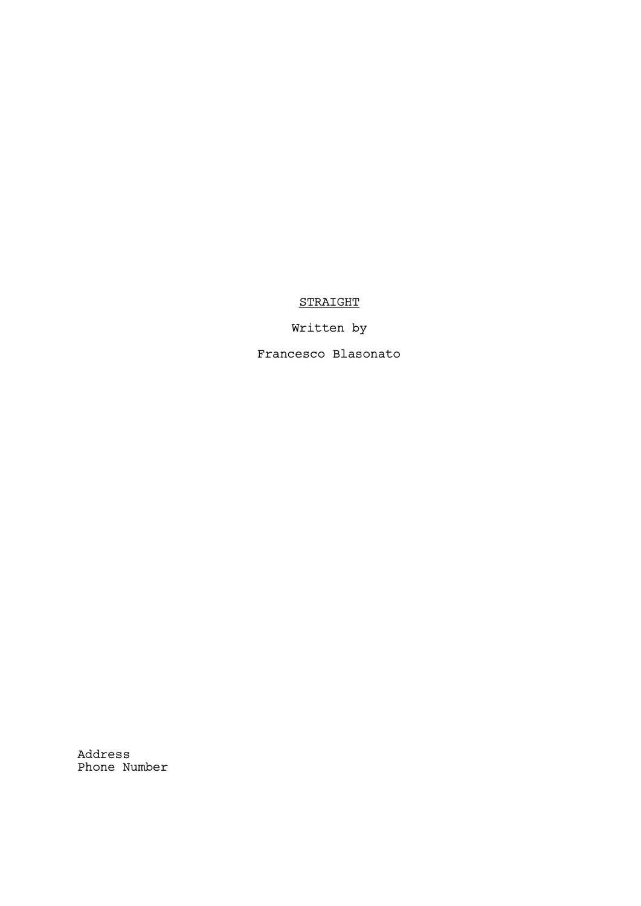## STRAIGHT

Written by

Francesco Blasonato

Address Phone Number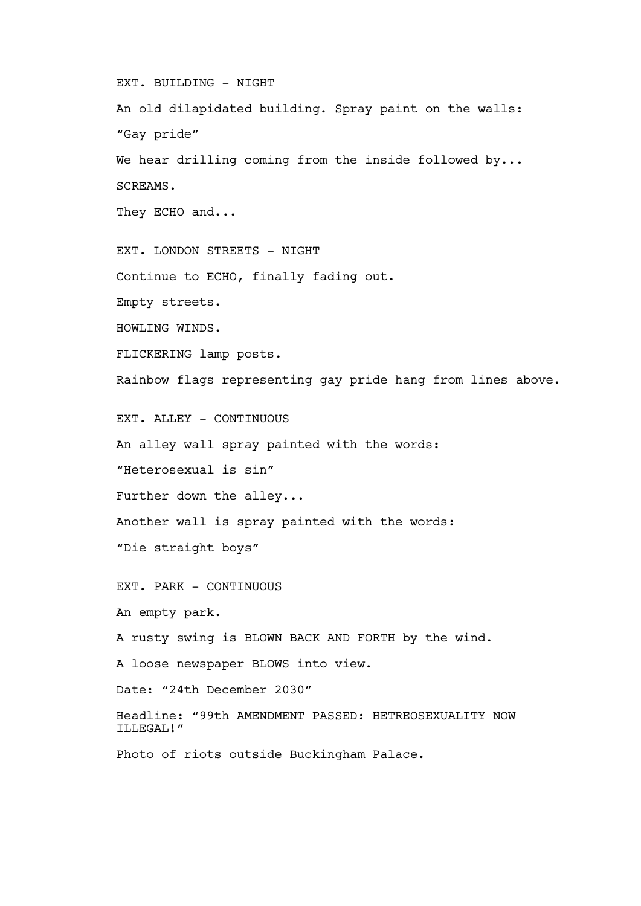EXT. BUILDING - NIGHT

An old dilapidated building. Spray paint on the walls: "Gay pride" We hear drilling coming from the inside followed by... SCREAMS. They ECHO and...

EXT. LONDON STREETS - NIGHT Continue to ECHO, finally fading out. Empty streets. HOWLING WINDS. FLICKERING lamp posts. Rainbow flags representing gay pride hang from lines above.

EXT. ALLEY - CONTINUOUS

An alley wall spray painted with the words:

"Heterosexual is sin"

Further down the alley...

Another wall is spray painted with the words:

"Die straight boys"

EXT. PARK - CONTINUOUS

An empty park.

A rusty swing is BLOWN BACK AND FORTH by the wind.

A loose newspaper BLOWS into view.

Date: "24th December 2030"

Headline: "99th AMENDMENT PASSED: HETREOSEXUALITY NOW ILLEGAL!"

Photo of riots outside Buckingham Palace.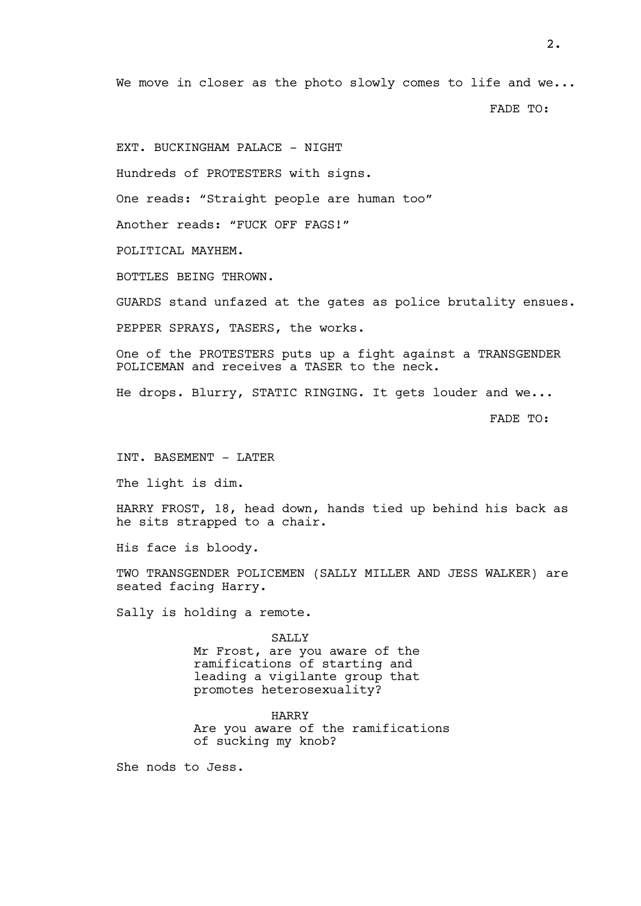We move in closer as the photo slowly comes to life and we...

FADE TO:

EXT. BUCKINGHAM PALACE - NIGHT

Hundreds of PROTESTERS with signs.

One reads: "Straight people are human too"

Another reads: "FUCK OFF FAGS!"

POLITICAL MAYHEM.

BOTTLES BEING THROWN.

GUARDS stand unfazed at the gates as police brutality ensues.

PEPPER SPRAYS, TASERS, the works.

One of the PROTESTERS puts up a fight against a TRANSGENDER POLICEMAN and receives a TASER to the neck.

He drops. Blurry, STATIC RINGING. It gets louder and we...

FADE TO:

INT. BASEMENT - LATER

The light is dim.

HARRY FROST, 18, head down, hands tied up behind his back as he sits strapped to a chair.

His face is bloody.

TWO TRANSGENDER POLICEMEN (SALLY MILLER AND JESS WALKER) are seated facing Harry.

Sally is holding a remote.

SALLY

Mr Frost, are you aware of the ramifications of starting and leading a vigilante group that promotes heterosexuality?

HARRY

Are you aware of the ramifications of sucking my knob?

She nods to Jess.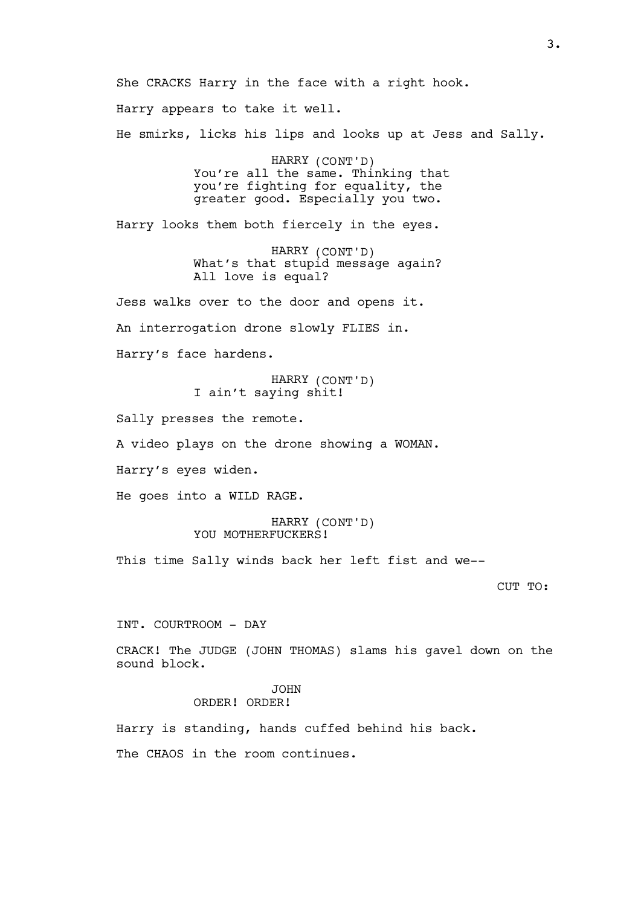She CRACKS Harry in the face with a right hook.

Harry appears to take it well.

He smirks, licks his lips and looks up at Jess and Sally.

HARRY (CONT'D) You're all the same. Thinking that you're fighting for equality, the greater good. Especially you two.

Harry looks them both fiercely in the eyes.

HARRY (CONT'D) What's that stupid message again? All love is equal?

Jess walks over to the door and opens it.

An interrogation drone slowly FLIES in.

Harry's face hardens.

HARRY (CONT'D) I ain't saying shit!

Sally presses the remote.

A video plays on the drone showing a WOMAN.

Harry's eyes widen.

He goes into a WILD RAGE.

HARRY (CONT'D) YOU MOTHERFUCKERS!

This time Sally winds back her left fist and we--

## CUT TO:

INT. COURTROOM - DAY

CRACK! The JUDGE (JOHN THOMAS) slams his gavel down on the sound block.

## JOHN ORDER! ORDER!

Harry is standing, hands cuffed behind his back.

The CHAOS in the room continues.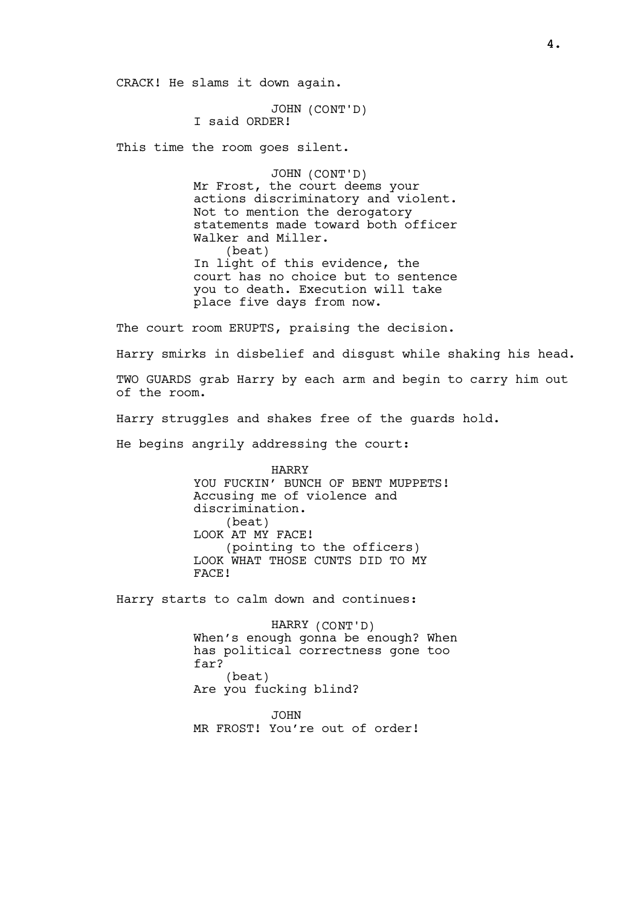CRACK! He slams it down again.

JOHN (CONT'D) I said ORDER!

This time the room goes silent.

JOHN (CONT'D) Mr Frost, the court deems your actions discriminatory and violent. Not to mention the derogatory statements made toward both officer Walker and Miller. (beat) In light of this evidence, the court has no choice but to sentence you to death. Execution will take place five days from now.

The court room ERUPTS, praising the decision.

Harry smirks in disbelief and disgust while shaking his head.

TWO GUARDS grab Harry by each arm and begin to carry him out of the room.

Harry struggles and shakes free of the guards hold.

He begins angrily addressing the court:

HARRY YOU FUCKIN' BUNCH OF BENT MUPPETS! Accusing me of violence and discrimination. (beat) LOOK AT MY FACE! (pointing to the officers) LOOK WHAT THOSE CUNTS DID TO MY FACE!

Harry starts to calm down and continues:

HARRY (CONT'D) When's enough gonna be enough? When has political correctness gone too far? (beat) Are you fucking blind?

JOHN MR FROST! You're out of order!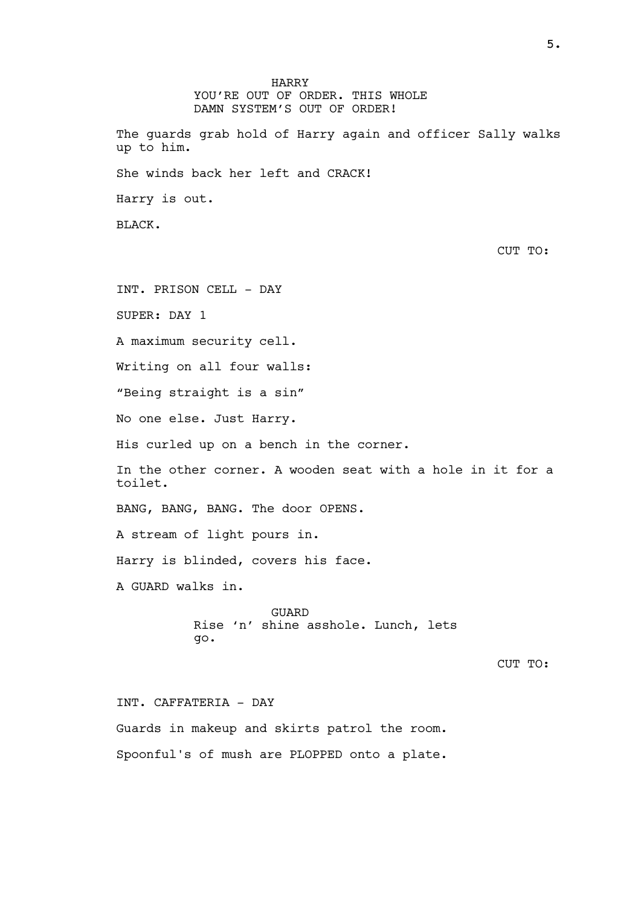HARRY YOU'RE OUT OF ORDER. THIS WHOLE DAMN SYSTEM'S OUT OF ORDER! The guards grab hold of Harry again and officer Sally walks up to him. She winds back her left and CRACK! Harry is out. BLACK. CUT TO: INT. PRISON CELL - DAY SUPER: DAY 1 A maximum security cell. Writing on all four walls: "Being straight is a sin" No one else. Just Harry. His curled up on a bench in the corner. In the other corner. A wooden seat with a hole in it for a toilet. BANG, BANG, BANG. The door OPENS. A stream of light pours in. Harry is blinded, covers his face. A GUARD walks in. GUARD Rise 'n' shine asshole. Lunch, lets go. CUT TO: INT. CAFFATERIA - DAY

Guards in makeup and skirts patrol the room. Spoonful's of mush are PLOPPED onto a plate.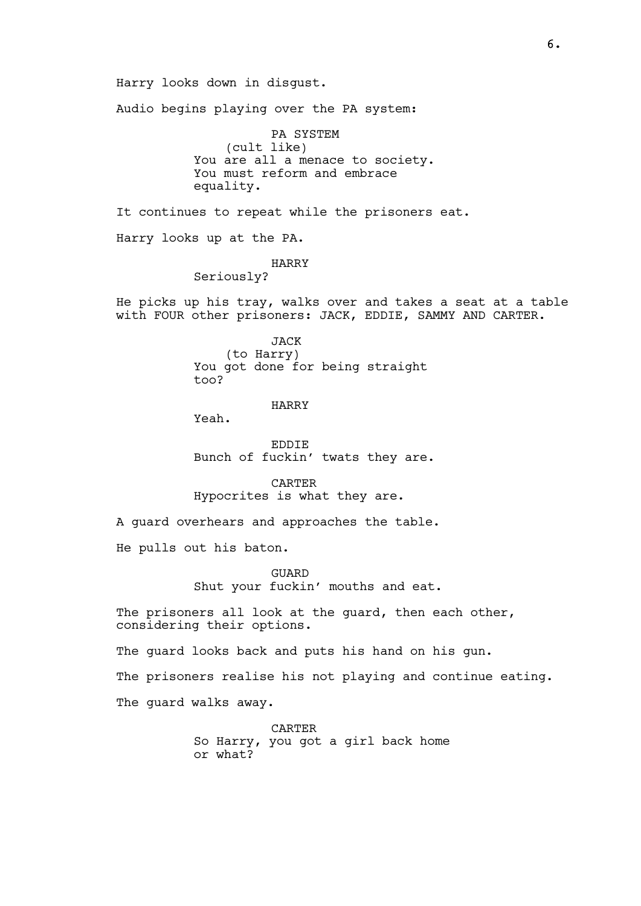Harry looks down in disgust. Audio begins playing over the PA system: PA SYSTEM (cult like) You are all a menace to society. You must reform and embrace equality. It continues to repeat while the prisoners eat. Harry looks up at the PA. HARRY Seriously? He picks up his tray, walks over and takes a seat at a table with FOUR other prisoners: JACK, EDDIE, SAMMY AND CARTER. JACK (to Harry) You got done for being straight too? HARRY Yeah. EDDIE Bunch of fuckin' twats they are. CARTER Hypocrites is what they are. A guard overhears and approaches the table. He pulls out his baton. GUARD Shut your fuckin' mouths and eat. The prisoners all look at the guard, then each other, considering their options. The guard looks back and puts his hand on his gun. The prisoners realise his not playing and continue eating. The guard walks away.

> CARTER So Harry, you got a girl back home or what?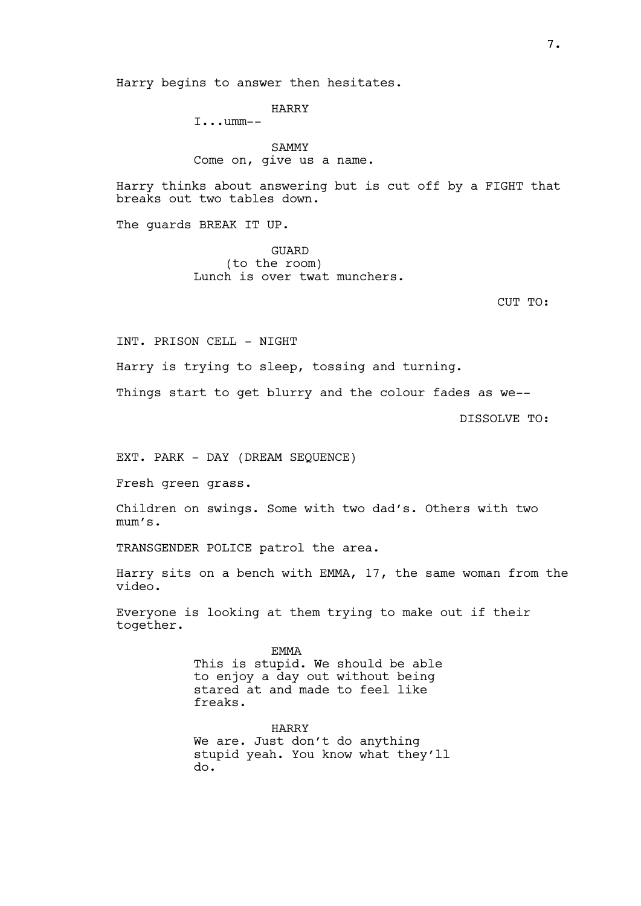Harry begins to answer then hesitates.

HARRY

I...umm--

SAMMY Come on, give us a name.

Harry thinks about answering but is cut off by a FIGHT that breaks out two tables down.

The guards BREAK IT UP.

GUARD (to the room) Lunch is over twat munchers.

CUT TO:

INT. PRISON CELL - NIGHT

Harry is trying to sleep, tossing and turning.

Things start to get blurry and the colour fades as we--

DISSOLVE TO:

EXT. PARK - DAY (DREAM SEQUENCE)

Fresh green grass.

Children on swings. Some with two dad's. Others with two mum's.

TRANSGENDER POLICE patrol the area.

Harry sits on a bench with EMMA, 17, the same woman from the video.

Everyone is looking at them trying to make out if their together.

> EMMA This is stupid. We should be able to enjoy a day out without being stared at and made to feel like freaks.

HARRY We are. Just don't do anything stupid yeah. You know what they'll do.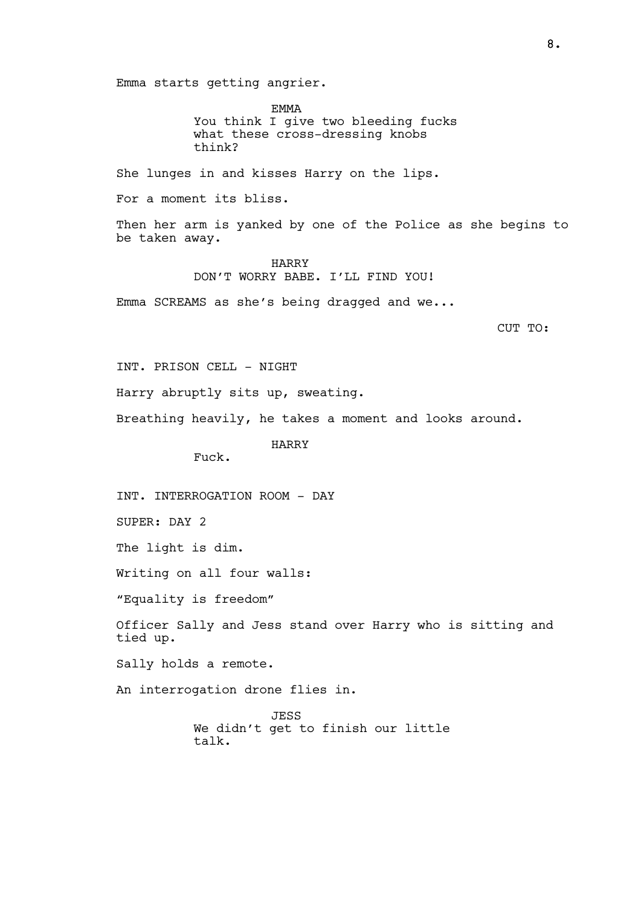Emma starts getting angrier.

EMMA You think I give two bleeding fucks what these cross-dressing knobs think?

She lunges in and kisses Harry on the lips.

For a moment its bliss.

Then her arm is yanked by one of the Police as she begins to be taken away.

> HARRY DON'T WORRY BABE. I'LL FIND YOU!

Emma SCREAMS as she's being dragged and we...

CUT TO:

INT. PRISON CELL - NIGHT

Harry abruptly sits up, sweating.

Breathing heavily, he takes a moment and looks around.

HARRY

Fuck.

INT. INTERROGATION ROOM - DAY

SUPER: DAY 2

The light is dim.

Writing on all four walls:

"Equality is freedom"

Officer Sally and Jess stand over Harry who is sitting and tied up.

Sally holds a remote.

An interrogation drone flies in.

JESS We didn't get to finish our little talk.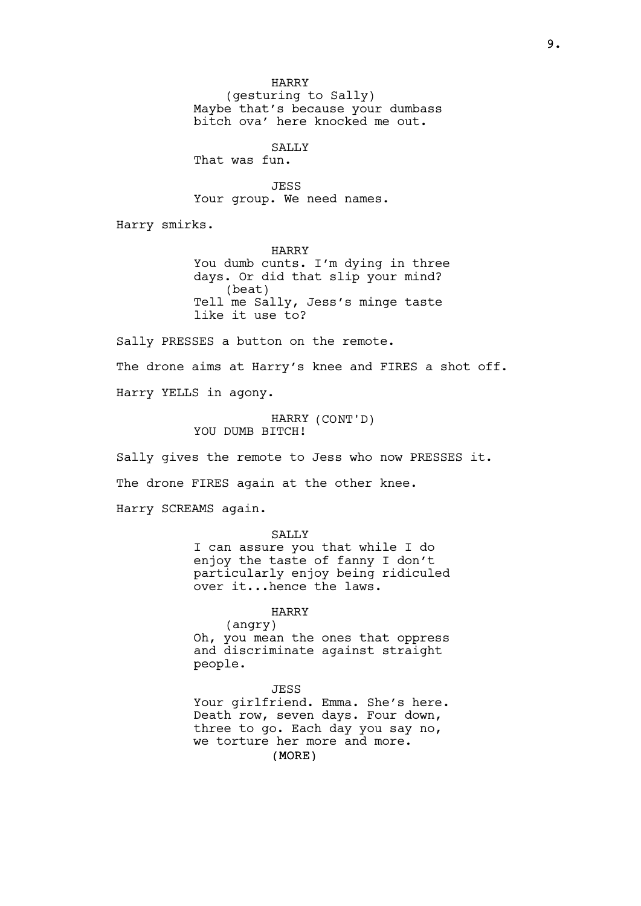HARRY

(gesturing to Sally) Maybe that's because your dumbass bitch ova' here knocked me out.

SALLY

That was fun.

JESS Your group. We need names.

Harry smirks.

HARRY You dumb cunts. I'm dying in three days. Or did that slip your mind? (beat) Tell me Sally, Jess's minge taste like it use to?

Sally PRESSES a button on the remote. The drone aims at Harry's knee and FIRES a shot off. Harry YELLS in agony.

> HARRY (CONT'D) YOU DUMB BITCH!

Sally gives the remote to Jess who now PRESSES it.

The drone FIRES again at the other knee.

Harry SCREAMS again.

**SALLY** I can assure you that while I do enjoy the taste of fanny I don't particularly enjoy being ridiculed over it...hence the laws.

HARRY

(angry) Oh, you mean the ones that oppress and discriminate against straight people.

(MORE) JESS Your girlfriend. Emma. She's here. Death row, seven days. Four down, three to go. Each day you say no, we torture her more and more.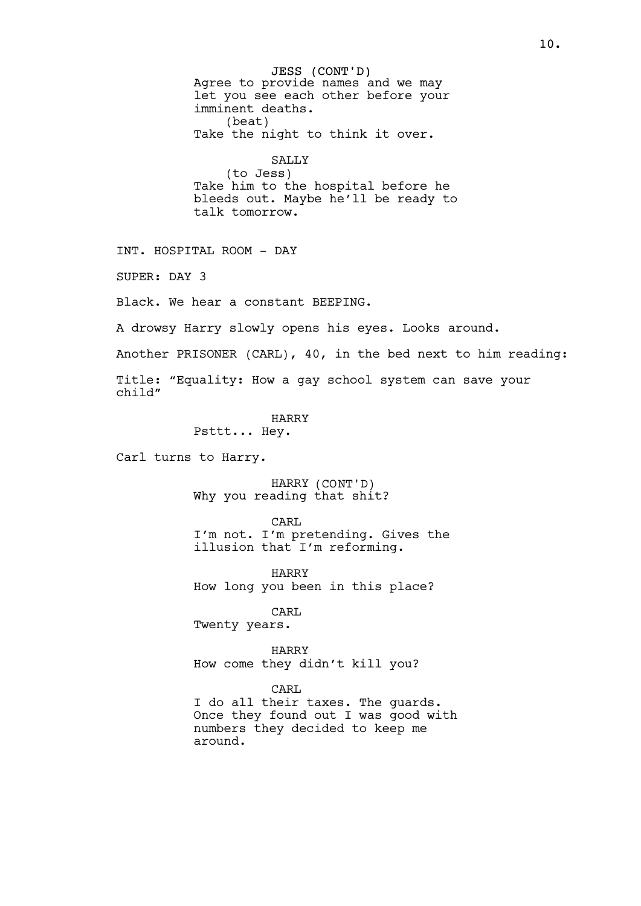JESS (CONT'D) Agree to provide names and we may let you see each other before your imminent deaths. (beat) Take the night to think it over. SALLY (to Jess) Take him to the hospital before he bleeds out. Maybe he'll be ready to talk tomorrow. INT. HOSPITAL ROOM - DAY SUPER: DAY 3 Black. We hear a constant BEEPING. A drowsy Harry slowly opens his eyes. Looks around. Another PRISONER (CARL), 40, in the bed next to him reading: Title: "Equality: How a gay school system can save your child" HARRY Psttt... Hey. Carl turns to Harry. HARRY (CONT'D) Why you reading that shit? CARL I'm not. I'm pretending. Gives the illusion that I'm reforming. HARRY How long you been in this place? CARL Twenty years. HARRY How come they didn't kill you? CARL I do all their taxes. The guards.

Once they found out I was good with numbers they decided to keep me around.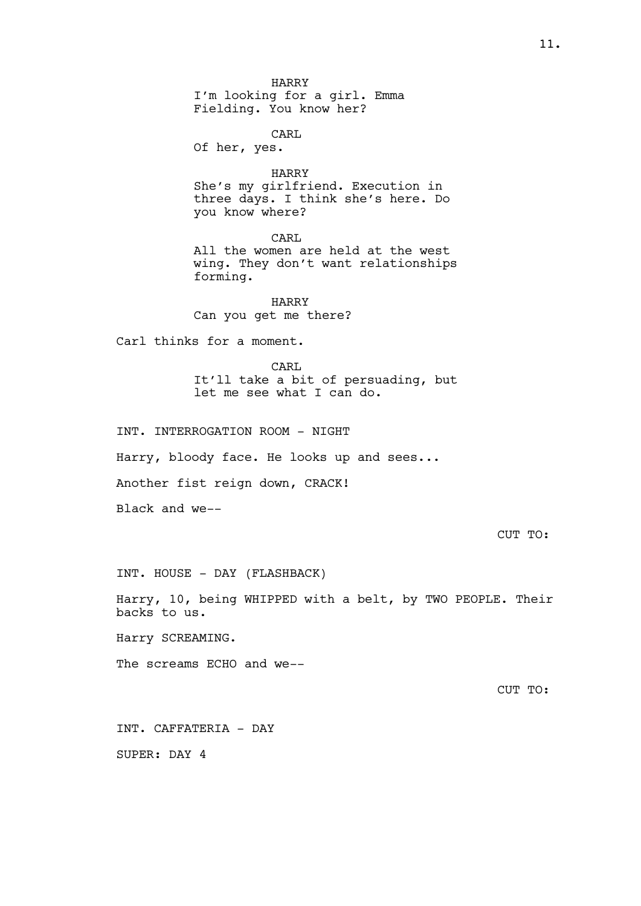HARRY I'm looking for a girl. Emma Fielding. You know her?

CARL

Of her, yes.

HARRY She's my girlfriend. Execution in three days. I think she's here. Do you know where?

CARL All the women are held at the west wing. They don't want relationships forming.

HARRY Can you get me there?

Carl thinks for a moment.

CARL It'll take a bit of persuading, but let me see what I can do.

INT. INTERROGATION ROOM - NIGHT

Harry, bloody face. He looks up and sees...

Another fist reign down, CRACK!

Black and we--

CUT TO:

INT. HOUSE - DAY (FLASHBACK)

Harry, 10, being WHIPPED with a belt, by TWO PEOPLE. Their backs to us.

Harry SCREAMING.

The screams ECHO and we--

CUT TO:

INT. CAFFATERIA - DAY

SUPER: DAY 4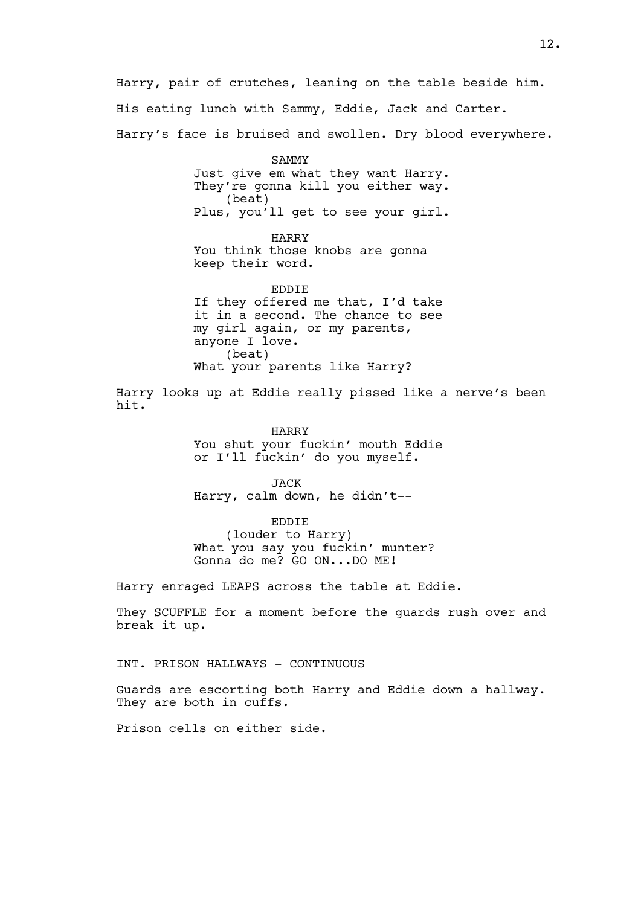Harry, pair of crutches, leaning on the table beside him. His eating lunch with Sammy, Eddie, Jack and Carter. Harry's face is bruised and swollen. Dry blood everywhere.

> SAMMY Just give em what they want Harry. They're gonna kill you either way. (beat) Plus, you'll get to see your girl.

HARRY You think those knobs are gonna keep their word.

EDDIE If they offered me that, I'd take it in a second. The chance to see my girl again, or my parents, anyone I love. (beat) What your parents like Harry?

Harry looks up at Eddie really pissed like a nerve's been hit.

> HARRY You shut your fuckin' mouth Eddie or I'll fuckin' do you myself.

JACK Harry, calm down, he didn't--

EDDIE (louder to Harry) What you say you fuckin' munter? Gonna do me? GO ON...DO ME!

Harry enraged LEAPS across the table at Eddie.

They SCUFFLE for a moment before the guards rush over and break it up.

INT. PRISON HALLWAYS - CONTINUOUS

Guards are escorting both Harry and Eddie down a hallway. They are both in cuffs.

Prison cells on either side.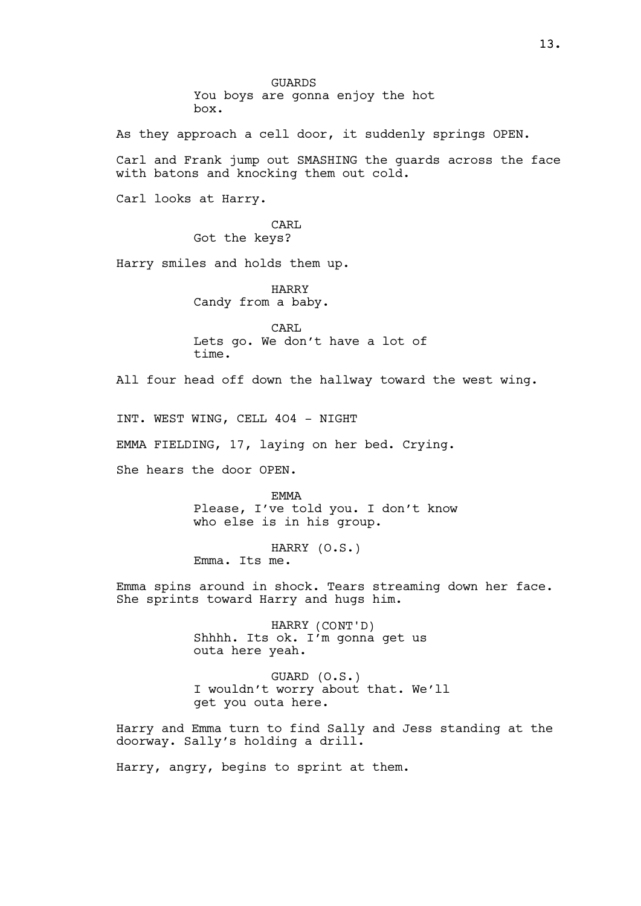**GUARDS** You boys are gonna enjoy the hot box.

As they approach a cell door, it suddenly springs OPEN.

Carl and Frank jump out SMASHING the guards across the face with batons and knocking them out cold.

Carl looks at Harry.

CARL. Got the keys?

Harry smiles and holds them up.

HARRY Candy from a baby.

CARL Lets go. We don't have a lot of time.

All four head off down the hallway toward the west wing.

INT. WEST WING, CELL 4O4 - NIGHT

EMMA FIELDING, 17, laying on her bed. Crying.

She hears the door OPEN.

EMMA Please, I've told you. I don't know who else is in his group.

HARRY (O.S.) Emma. Its me.

Emma spins around in shock. Tears streaming down her face. She sprints toward Harry and hugs him.

> HARRY (CONT'D) Shhhh. Its ok. I'm gonna get us outa here yeah.

GUARD (O.S.) I wouldn't worry about that. We'll get you outa here.

Harry and Emma turn to find Sally and Jess standing at the doorway. Sally's holding a drill.

Harry, angry, begins to sprint at them.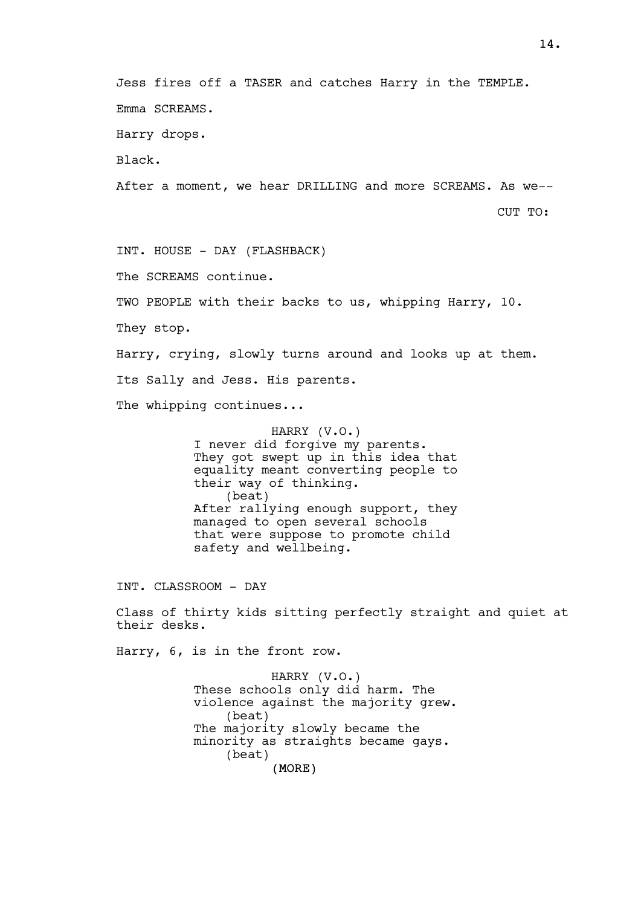Jess fires off a TASER and catches Harry in the TEMPLE. Emma SCREAMS.

Harry drops.

Black.

After a moment, we hear DRILLING and more SCREAMS. As we--

CUT TO:

INT. HOUSE - DAY (FLASHBACK)

The SCREAMS continue.

TWO PEOPLE with their backs to us, whipping Harry, 10.

They stop.

Harry, crying, slowly turns around and looks up at them.

Its Sally and Jess. His parents.

The whipping continues...

HARRY (V.O.) I never did forgive my parents. They got swept up in this idea that equality meant converting people to their way of thinking. (beat) After rallying enough support, they managed to open several schools that were suppose to promote child safety and wellbeing.

INT. CLASSROOM - DAY

Class of thirty kids sitting perfectly straight and quiet at their desks.

Harry, 6, is in the front row.

(MORE) HARRY (V.O.) These schools only did harm. The violence against the majority grew. (beat) The majority slowly became the minority as straights became gays. (beat)